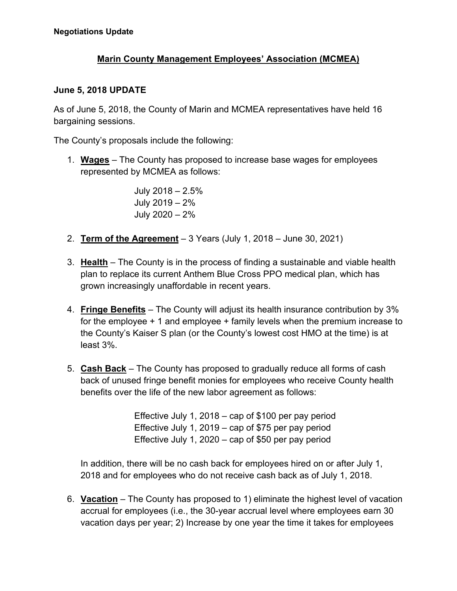## **Marin County Management Employees' Association (MCMEA)**

## **June 5, 2018 UPDATE**

As of June 5, 2018, the County of Marin and MCMEA representatives have held 16 bargaining sessions.

The County's proposals include the following:

1. **Wages** – The County has proposed to increase base wages for employees represented by MCMEA as follows:

> July 2018 – 2.5% July 2019 – 2% July 2020 – 2%

- 2. **Term of the Agreement** 3 Years (July 1, 2018 June 30, 2021)
- 3. **Health** The County is in the process of finding a sustainable and viable health plan to replace its current Anthem Blue Cross PPO medical plan, which has grown increasingly unaffordable in recent years.
- 4. **Fringe Benefits** The County will adjust its health insurance contribution by 3% for the employee + 1 and employee + family levels when the premium increase to the County's Kaiser S plan (or the County's lowest cost HMO at the time) is at least 3%.
- 5. **Cash Back** The County has proposed to gradually reduce all forms of cash back of unused fringe benefit monies for employees who receive County health benefits over the life of the new labor agreement as follows:

Effective July 1, 2018 – cap of \$100 per pay period Effective July 1, 2019 – cap of \$75 per pay period Effective July 1, 2020 – cap of \$50 per pay period

In addition, there will be no cash back for employees hired on or after July 1, 2018 and for employees who do not receive cash back as of July 1, 2018.

6. **Vacation** – The County has proposed to 1) eliminate the highest level of vacation accrual for employees (i.e., the 30-year accrual level where employees earn 30 vacation days per year; 2) Increase by one year the time it takes for employees